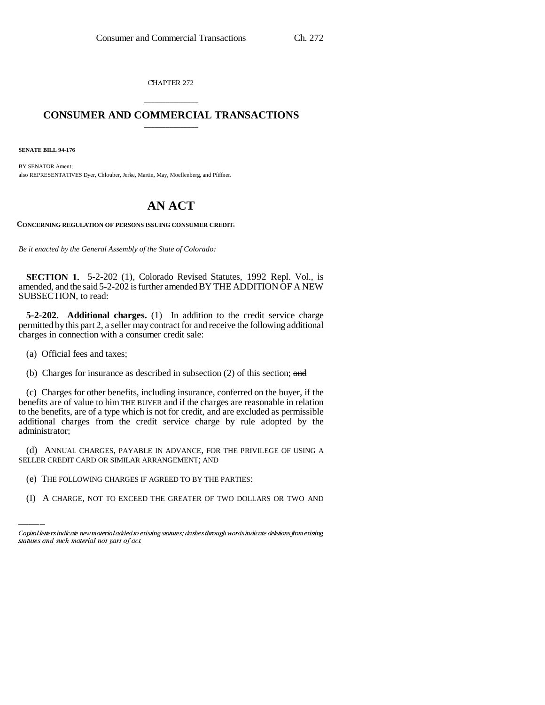CHAPTER 272

## \_\_\_\_\_\_\_\_\_\_\_\_\_\_\_ **CONSUMER AND COMMERCIAL TRANSACTIONS** \_\_\_\_\_\_\_\_\_\_\_\_\_\_\_

**SENATE BILL 94-176**

BY SENATOR Ament; also REPRESENTATIVES Dyer, Chlouber, Jerke, Martin, May, Moellenberg, and Pfiffner.

## **AN ACT**

**CONCERNING REGULATION OF PERSONS ISSUING CONSUMER CREDIT.**

*Be it enacted by the General Assembly of the State of Colorado:*

**SECTION 1.** 5-2-202 (1), Colorado Revised Statutes, 1992 Repl. Vol., is amended, and the said 5-2-202 is further amended BY THE ADDITION OF A NEW SUBSECTION, to read:

**5-2-202. Additional charges.** (1) In addition to the credit service charge permitted by this part 2, a seller may contract for and receive the following additional charges in connection with a consumer credit sale:

- (a) Official fees and taxes;
- (b) Charges for insurance as described in subsection  $(2)$  of this section; and

(c) Charges for other benefits, including insurance, conferred on the buyer, if the benefits are of value to him THE BUYER and if the charges are reasonable in relation to the benefits, are of a type which is not for credit, and are excluded as permissible additional charges from the credit service charge by rule adopted by the administrator;

SELLER CREDIT CARD OR SIMILAR ARRANGEMENT; AND (d) ANNUAL CHARGES, PAYABLE IN ADVANCE, FOR THE PRIVILEGE OF USING A

- (e) THE FOLLOWING CHARGES IF AGREED TO BY THE PARTIES:
- (I) A CHARGE, NOT TO EXCEED THE GREATER OF TWO DOLLARS OR TWO AND

Capital letters indicate new material added to existing statutes; dashes through words indicate deletions from existing statutes and such material not part of act.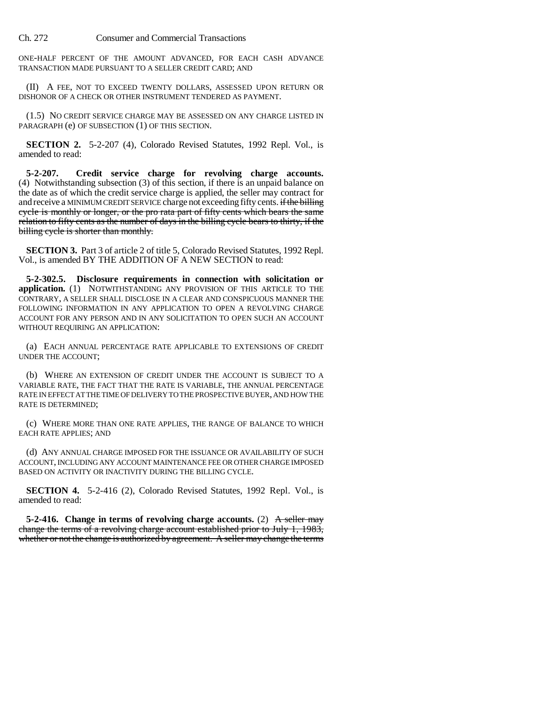ONE-HALF PERCENT OF THE AMOUNT ADVANCED, FOR EACH CASH ADVANCE TRANSACTION MADE PURSUANT TO A SELLER CREDIT CARD; AND

(II) A FEE, NOT TO EXCEED TWENTY DOLLARS, ASSESSED UPON RETURN OR DISHONOR OF A CHECK OR OTHER INSTRUMENT TENDERED AS PAYMENT.

(1.5) NO CREDIT SERVICE CHARGE MAY BE ASSESSED ON ANY CHARGE LISTED IN PARAGRAPH (e) OF SUBSECTION (1) OF THIS SECTION.

**SECTION 2.** 5-2-207 (4), Colorado Revised Statutes, 1992 Repl. Vol., is amended to read:

**5-2-207. Credit service charge for revolving charge accounts.** (4) Notwithstanding subsection (3) of this section, if there is an unpaid balance on the date as of which the credit service charge is applied, the seller may contract for and receive a MINIMUM CREDIT SERVICE charge not exceeding fifty cents. if the billing cycle is monthly or longer, or the pro rata part of fifty cents which bears the same relation to fifty cents as the number of days in the billing cycle bears to thirty, if the billing cycle is shorter than monthly.

**SECTION 3.** Part 3 of article 2 of title 5, Colorado Revised Statutes, 1992 Repl. Vol., is amended BY THE ADDITION OF A NEW SECTION to read:

**5-2-302.5. Disclosure requirements in connection with solicitation or application.** (1) NOTWITHSTANDING ANY PROVISION OF THIS ARTICLE TO THE CONTRARY, A SELLER SHALL DISCLOSE IN A CLEAR AND CONSPICUOUS MANNER THE FOLLOWING INFORMATION IN ANY APPLICATION TO OPEN A REVOLVING CHARGE ACCOUNT FOR ANY PERSON AND IN ANY SOLICITATION TO OPEN SUCH AN ACCOUNT WITHOUT REQUIRING AN APPLICATION:

(a) EACH ANNUAL PERCENTAGE RATE APPLICABLE TO EXTENSIONS OF CREDIT UNDER THE ACCOUNT;

(b) WHERE AN EXTENSION OF CREDIT UNDER THE ACCOUNT IS SUBJECT TO A VARIABLE RATE, THE FACT THAT THE RATE IS VARIABLE, THE ANNUAL PERCENTAGE RATE IN EFFECT AT THE TIME OF DELIVERY TO THE PROSPECTIVE BUYER, AND HOW THE RATE IS DETERMINED;

(c) WHERE MORE THAN ONE RATE APPLIES, THE RANGE OF BALANCE TO WHICH EACH RATE APPLIES; AND

(d) ANY ANNUAL CHARGE IMPOSED FOR THE ISSUANCE OR AVAILABILITY OF SUCH ACCOUNT, INCLUDING ANY ACCOUNT MAINTENANCE FEE OR OTHER CHARGE IMPOSED BASED ON ACTIVITY OR INACTIVITY DURING THE BILLING CYCLE.

**SECTION 4.** 5-2-416 (2), Colorado Revised Statutes, 1992 Repl. Vol., is amended to read:

**5-2-416.** Change in terms of revolving charge accounts. (2) A seller may change the terms of a revolving charge account established prior to July 1, 1983, whether or not the change is authorized by agreement. A seller may change the terms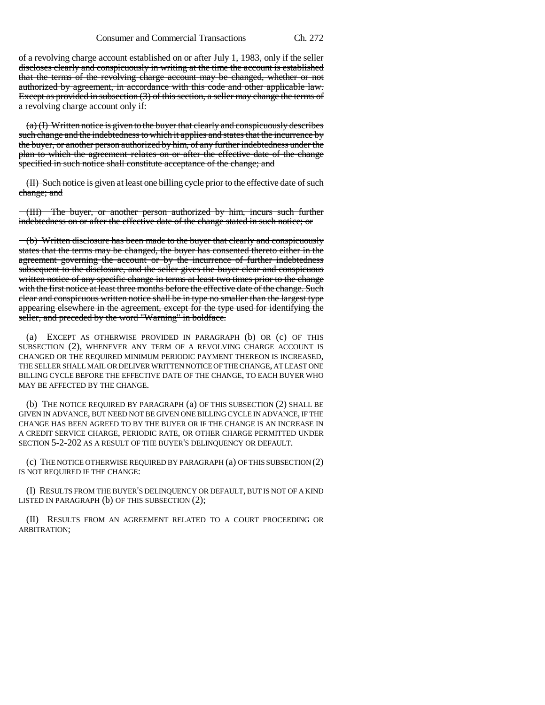of a revolving charge account established on or after July 1, 1983, only if the seller discloses clearly and conspicuously in writing at the time the account is established that the terms of the revolving charge account may be changed, whether or not authorized by agreement, in accordance with this code and other applicable law. Except as provided in subsection (3) of this section, a seller may change the terms of a revolving charge account only if:

(a) (I) Written notice is given to the buyer that clearly and conspicuously describes such change and the indebtedness to which it applies and states that the incurrence by the buyer, or another person authorized by him, of any further indebtedness under the plan to which the agreement relates on or after the effective date of the change specified in such notice shall constitute acceptance of the change; and

(II) Such notice is given at least one billing cycle prior to the effective date of such change; and

(III) The buyer, or another person authorized by him, incurs such further indebtedness on or after the effective date of the change stated in such notice; or

(b) Written disclosure has been made to the buyer that clearly and conspicuously states that the terms may be changed, the buyer has consented thereto either in the agreement governing the account or by the incurrence of further indebtedness subsequent to the disclosure, and the seller gives the buyer clear and conspicuous written notice of any specific change in terms at least two times prior to the change with the first notice at least three months before the effective date of the change. Such clear and conspicuous written notice shall be in type no smaller than the largest type appearing elsewhere in the agreement, except for the type used for identifying the seller, and preceded by the word "Warning" in boldface.

(a) EXCEPT AS OTHERWISE PROVIDED IN PARAGRAPH (b) OR (c) OF THIS SUBSECTION (2), WHENEVER ANY TERM OF A REVOLVING CHARGE ACCOUNT IS CHANGED OR THE REQUIRED MINIMUM PERIODIC PAYMENT THEREON IS INCREASED, THE SELLER SHALL MAIL OR DELIVER WRITTEN NOTICE OF THE CHANGE, AT LEAST ONE BILLING CYCLE BEFORE THE EFFECTIVE DATE OF THE CHANGE, TO EACH BUYER WHO MAY BE AFFECTED BY THE CHANGE.

(b) THE NOTICE REQUIRED BY PARAGRAPH (a) OF THIS SUBSECTION (2) SHALL BE GIVEN IN ADVANCE, BUT NEED NOT BE GIVEN ONE BILLING CYCLE IN ADVANCE, IF THE CHANGE HAS BEEN AGREED TO BY THE BUYER OR IF THE CHANGE IS AN INCREASE IN A CREDIT SERVICE CHARGE, PERIODIC RATE, OR OTHER CHARGE PERMITTED UNDER SECTION 5-2-202 AS A RESULT OF THE BUYER'S DELINQUENCY OR DEFAULT.

(c) THE NOTICE OTHERWISE REQUIRED BY PARAGRAPH (a) OF THIS SUBSECTION (2) IS NOT REQUIRED IF THE CHANGE:

(I) RESULTS FROM THE BUYER'S DELINQUENCY OR DEFAULT, BUT IS NOT OF A KIND LISTED IN PARAGRAPH (b) OF THIS SUBSECTION (2);

(II) RESULTS FROM AN AGREEMENT RELATED TO A COURT PROCEEDING OR ARBITRATION;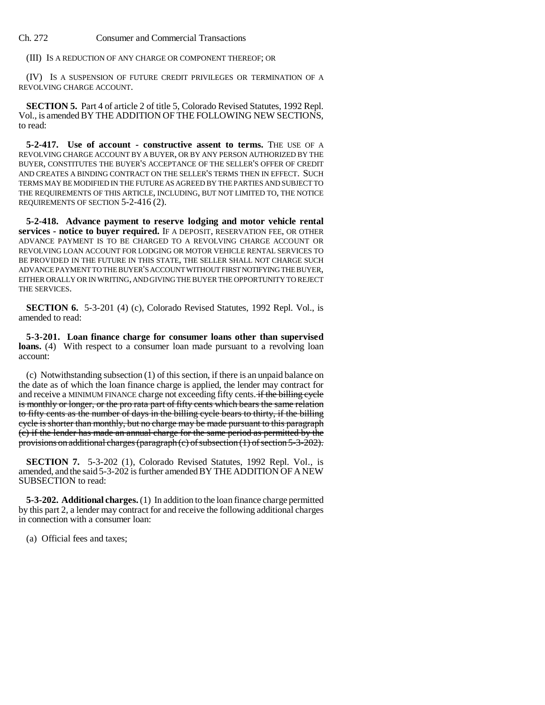(III) IS A REDUCTION OF ANY CHARGE OR COMPONENT THEREOF; OR

(IV) IS A SUSPENSION OF FUTURE CREDIT PRIVILEGES OR TERMINATION OF A REVOLVING CHARGE ACCOUNT.

**SECTION 5.** Part 4 of article 2 of title 5, Colorado Revised Statutes, 1992 Repl. Vol., is amended BY THE ADDITION OF THE FOLLOWING NEW SECTIONS, to read:

**5-2-417. Use of account - constructive assent to terms.** THE USE OF A REVOLVING CHARGE ACCOUNT BY A BUYER, OR BY ANY PERSON AUTHORIZED BY THE BUYER, CONSTITUTES THE BUYER'S ACCEPTANCE OF THE SELLER'S OFFER OF CREDIT AND CREATES A BINDING CONTRACT ON THE SELLER'S TERMS THEN IN EFFECT. SUCH TERMS MAY BE MODIFIED IN THE FUTURE AS AGREED BY THE PARTIES AND SUBJECT TO THE REQUIREMENTS OF THIS ARTICLE, INCLUDING, BUT NOT LIMITED TO, THE NOTICE REQUIREMENTS OF SECTION 5-2-416 (2).

**5-2-418. Advance payment to reserve lodging and motor vehicle rental services - notice to buyer required.** IF A DEPOSIT, RESERVATION FEE, OR OTHER ADVANCE PAYMENT IS TO BE CHARGED TO A REVOLVING CHARGE ACCOUNT OR REVOLVING LOAN ACCOUNT FOR LODGING OR MOTOR VEHICLE RENTAL SERVICES TO BE PROVIDED IN THE FUTURE IN THIS STATE, THE SELLER SHALL NOT CHARGE SUCH ADVANCE PAYMENT TO THE BUYER'S ACCOUNT WITHOUT FIRST NOTIFYING THE BUYER, EITHER ORALLY OR IN WRITING, AND GIVING THE BUYER THE OPPORTUNITY TO REJECT THE SERVICES.

**SECTION 6.** 5-3-201 (4) (c), Colorado Revised Statutes, 1992 Repl. Vol., is amended to read:

**5-3-201. Loan finance charge for consumer loans other than supervised loans.** (4) With respect to a consumer loan made pursuant to a revolving loan account:

(c) Notwithstanding subsection (1) of this section, if there is an unpaid balance on the date as of which the loan finance charge is applied, the lender may contract for and receive a MINIMUM FINANCE charge not exceeding fifty cents. **if the billing cycle** is monthly or longer, or the pro rata part of fifty cents which bears the same relation to fifty cents as the number of days in the billing cycle bears to thirty, if the billing cycle is shorter than monthly, but no charge may be made pursuant to this paragraph (c) if the lender has made an annual charge for the same period as permitted by the provisions on additional charges (paragraph (c) of subsection (1) of section 5-3-202).

**SECTION 7.** 5-3-202 (1), Colorado Revised Statutes, 1992 Repl. Vol., is amended, and the said 5-3-202 is further amended BY THE ADDITION OF A NEW SUBSECTION to read:

**5-3-202. Additional charges.** (1) In addition to the loan finance charge permitted by this part 2, a lender may contract for and receive the following additional charges in connection with a consumer loan:

(a) Official fees and taxes;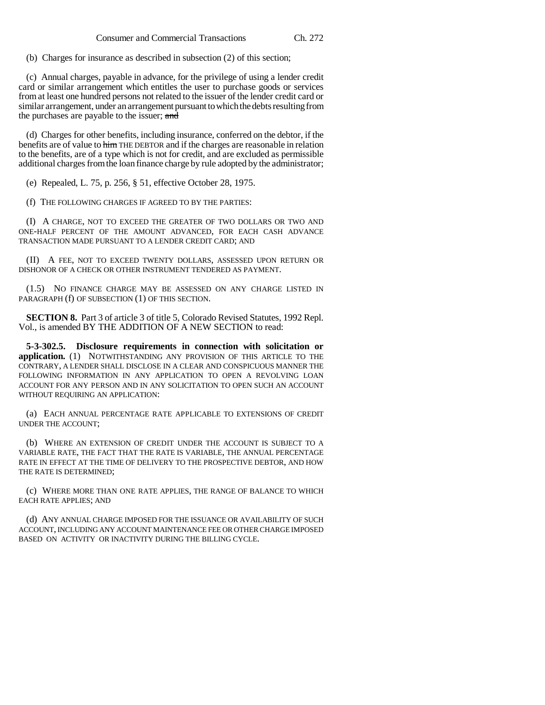(b) Charges for insurance as described in subsection (2) of this section;

(c) Annual charges, payable in advance, for the privilege of using a lender credit card or similar arrangement which entitles the user to purchase goods or services from at least one hundred persons not related to the issuer of the lender credit card or similar arrangement, under an arrangement pursuant to which the debts resulting from the purchases are payable to the issuer; and

(d) Charges for other benefits, including insurance, conferred on the debtor, if the benefits are of value to him THE DEBTOR and if the charges are reasonable in relation to the benefits, are of a type which is not for credit, and are excluded as permissible additional charges from the loan finance charge by rule adopted by the administrator;

(e) Repealed, L. 75, p. 256, § 51, effective October 28, 1975.

(f) THE FOLLOWING CHARGES IF AGREED TO BY THE PARTIES:

(I) A CHARGE, NOT TO EXCEED THE GREATER OF TWO DOLLARS OR TWO AND ONE-HALF PERCENT OF THE AMOUNT ADVANCED, FOR EACH CASH ADVANCE TRANSACTION MADE PURSUANT TO A LENDER CREDIT CARD; AND

(II) A FEE, NOT TO EXCEED TWENTY DOLLARS, ASSESSED UPON RETURN OR DISHONOR OF A CHECK OR OTHER INSTRUMENT TENDERED AS PAYMENT.

(1.5) NO FINANCE CHARGE MAY BE ASSESSED ON ANY CHARGE LISTED IN PARAGRAPH (f) OF SUBSECTION (1) OF THIS SECTION.

**SECTION 8.** Part 3 of article 3 of title 5, Colorado Revised Statutes, 1992 Repl. Vol., is amended BY THE ADDITION OF A NEW SECTION to read:

**5-3-302.5. Disclosure requirements in connection with solicitation or application.** (1) NOTWITHSTANDING ANY PROVISION OF THIS ARTICLE TO THE CONTRARY, A LENDER SHALL DISCLOSE IN A CLEAR AND CONSPICUOUS MANNER THE FOLLOWING INFORMATION IN ANY APPLICATION TO OPEN A REVOLVING LOAN ACCOUNT FOR ANY PERSON AND IN ANY SOLICITATION TO OPEN SUCH AN ACCOUNT WITHOUT REQUIRING AN APPLICATION:

(a) EACH ANNUAL PERCENTAGE RATE APPLICABLE TO EXTENSIONS OF CREDIT UNDER THE ACCOUNT;

(b) WHERE AN EXTENSION OF CREDIT UNDER THE ACCOUNT IS SUBJECT TO A VARIABLE RATE, THE FACT THAT THE RATE IS VARIABLE, THE ANNUAL PERCENTAGE RATE IN EFFECT AT THE TIME OF DELIVERY TO THE PROSPECTIVE DEBTOR, AND HOW THE RATE IS DETERMINED;

(c) WHERE MORE THAN ONE RATE APPLIES, THE RANGE OF BALANCE TO WHICH EACH RATE APPLIES; AND

(d) ANY ANNUAL CHARGE IMPOSED FOR THE ISSUANCE OR AVAILABILITY OF SUCH ACCOUNT, INCLUDING ANY ACCOUNT MAINTENANCE FEE OR OTHER CHARGE IMPOSED BASED ON ACTIVITY OR INACTIVITY DURING THE BILLING CYCLE.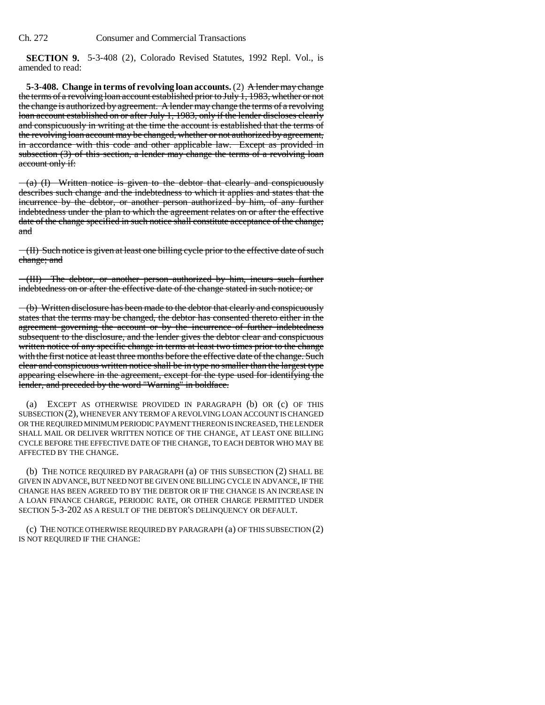**SECTION 9.** 5-3-408 (2), Colorado Revised Statutes, 1992 Repl. Vol., is amended to read:

**5-3-408.** Change in terms of revolving loan accounts. (2) A lender may change the terms of a revolving loan account established prior to July 1, 1983, whether or not the change is authorized by agreement. A lender may change the terms of a revolving loan account established on or after July 1, 1983, only if the lender discloses clearly and conspicuously in writing at the time the account is established that the terms of the revolving loan account may be changed, whether or not authorized by agreement, in accordance with this code and other applicable law. Except as provided in subsection (3) of this section, a lender may change the terms of a revolving loan account only if:

 $-(a)$  (I) Written notice is given to the debtor that clearly and conspicuously describes such change and the indebtedness to which it applies and states that the incurrence by the debtor, or another person authorized by him, of any further indebtedness under the plan to which the agreement relates on or after the effective date of the change specified in such notice shall constitute acceptance of the change; and

 $-(H)$  Such notice is given at least one billing cycle prior to the effective date of such change; and

(III) The debtor, or another person authorized by him, incurs such further indebtedness on or after the effective date of the change stated in such notice; or

(b) Written disclosure has been made to the debtor that clearly and conspicuously states that the terms may be changed, the debtor has consented thereto either in the agreement governing the account or by the incurrence of further indebtedness subsequent to the disclosure, and the lender gives the debtor clear and conspicuous written notice of any specific change in terms at least two times prior to the change with the first notice at least three months before the effective date of the change. Such clear and conspicuous written notice shall be in type no smaller than the largest type appearing elsewhere in the agreement, except for the type used for identifying the lender, and preceded by the word "Warning" in boldface.

(a) EXCEPT AS OTHERWISE PROVIDED IN PARAGRAPH (b) OR (c) OF THIS SUBSECTION (2), WHENEVER ANY TERM OF A REVOLVING LOAN ACCOUNT IS CHANGED OR THE REQUIRED MINIMUM PERIODIC PAYMENT THEREON IS INCREASED, THE LENDER SHALL MAIL OR DELIVER WRITTEN NOTICE OF THE CHANGE, AT LEAST ONE BILLING CYCLE BEFORE THE EFFECTIVE DATE OF THE CHANGE, TO EACH DEBTOR WHO MAY BE AFFECTED BY THE CHANGE.

(b) THE NOTICE REQUIRED BY PARAGRAPH (a) OF THIS SUBSECTION (2) SHALL BE GIVEN IN ADVANCE, BUT NEED NOT BE GIVEN ONE BILLING CYCLE IN ADVANCE, IF THE CHANGE HAS BEEN AGREED TO BY THE DEBTOR OR IF THE CHANGE IS AN INCREASE IN A LOAN FINANCE CHARGE, PERIODIC RATE, OR OTHER CHARGE PERMITTED UNDER SECTION 5-3-202 AS A RESULT OF THE DEBTOR'S DELINQUENCY OR DEFAULT.

(c) THE NOTICE OTHERWISE REQUIRED BY PARAGRAPH (a) OF THIS SUBSECTION (2) IS NOT REQUIRED IF THE CHANGE: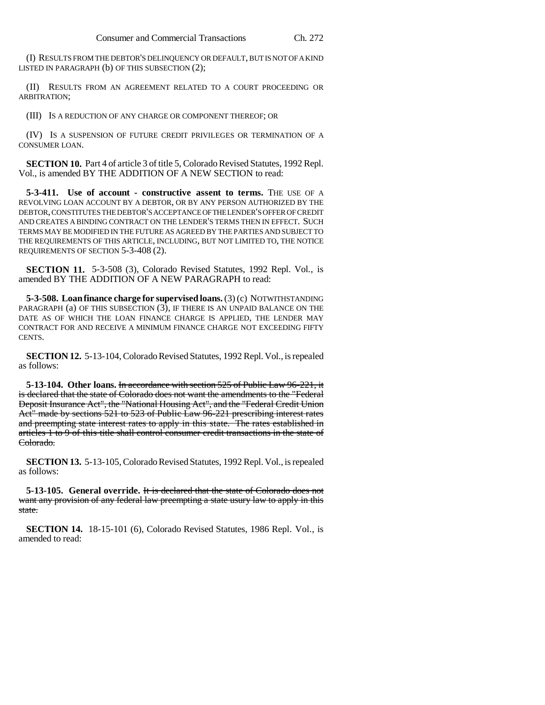(I) RESULTS FROM THE DEBTOR'S DELINQUENCY OR DEFAULT, BUT IS NOT OF A KIND LISTED IN PARAGRAPH (b) OF THIS SUBSECTION (2);

(II) RESULTS FROM AN AGREEMENT RELATED TO A COURT PROCEEDING OR ARBITRATION;

(III) IS A REDUCTION OF ANY CHARGE OR COMPONENT THEREOF; OR

(IV) IS A SUSPENSION OF FUTURE CREDIT PRIVILEGES OR TERMINATION OF A CONSUMER LOAN.

**SECTION 10.** Part 4 of article 3 of title 5, Colorado Revised Statutes, 1992 Repl. Vol., is amended BY THE ADDITION OF A NEW SECTION to read:

**5-3-411. Use of account - constructive assent to terms.** THE USE OF A REVOLVING LOAN ACCOUNT BY A DEBTOR, OR BY ANY PERSON AUTHORIZED BY THE DEBTOR, CONSTITUTES THE DEBTOR'S ACCEPTANCE OF THE LENDER'S OFFER OF CREDIT AND CREATES A BINDING CONTRACT ON THE LENDER'S TERMS THEN IN EFFECT. SUCH TERMS MAY BE MODIFIED IN THE FUTURE AS AGREED BY THE PARTIES AND SUBJECT TO THE REQUIREMENTS OF THIS ARTICLE, INCLUDING, BUT NOT LIMITED TO, THE NOTICE REQUIREMENTS OF SECTION 5-3-408 (2).

**SECTION 11.** 5-3-508 (3), Colorado Revised Statutes, 1992 Repl. Vol., is amended BY THE ADDITION OF A NEW PARAGRAPH to read:

**5-3-508. Loan finance charge for supervised loans.** (3) (c) NOTWITHSTANDING PARAGRAPH  $(a)$  OF THIS SUBSECTION  $(3)$ , IF THERE IS AN UNPAID BALANCE ON THE DATE AS OF WHICH THE LOAN FINANCE CHARGE IS APPLIED, THE LENDER MAY CONTRACT FOR AND RECEIVE A MINIMUM FINANCE CHARGE NOT EXCEEDING FIFTY CENTS.

**SECTION 12.** 5-13-104, Colorado Revised Statutes, 1992 Repl. Vol., is repealed as follows:

**5-13-104. Other loans.** In accordance with section 525 of Public Law 96-221, it is declared that the state of Colorado does not want the amendments to the "Federal Deposit Insurance Act", the "National Housing Act", and the "Federal Credit Union Act" made by sections 521 to 523 of Public Law 96-221 prescribing interest rates and preempting state interest rates to apply in this state. The rates established in articles 1 to 9 of this title shall control consumer credit transactions in the state of Colorado.

**SECTION 13.** 5-13-105, Colorado Revised Statutes, 1992 Repl. Vol., is repealed as follows:

**5-13-105. General override.** It is declared that the state of Colorado does not want any provision of any federal law preempting a state usury law to apply in this state.

**SECTION 14.** 18-15-101 (6), Colorado Revised Statutes, 1986 Repl. Vol., is amended to read: